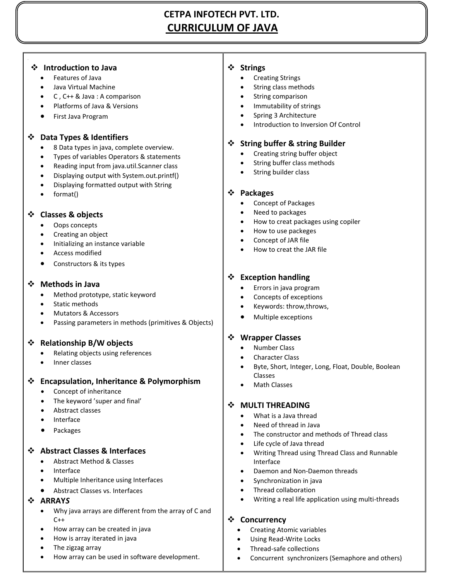# **CETPA INFOTECH PVT. LTD. CURRICULUM OF JAVA**

#### **Introduction to Java**

Features of Java

.

- Java Virtual Machine
- C , C++ & Java : A comparison
- Platforms of Java & Versions
- First Java Program

# **Data Types & Identifiers**

- 8 Data types in java, complete overview.
- Types of variables Operators & statements
- Reading input from java.util.Scanner class
- Displaying output with System.out.printf()
- Displaying formatted output with String
- format()

## **Classes & objects**

- Oops concepts
- Creating an object
- Initializing an instance variable
- Access modified
- Constructors & its types

# **Methods in Java**

- Method prototype, static keyword
- Static methods
- Mutators & Accessors
- Passing parameters in methods (primitives & Objects)

# **Relationship B/W objects**

- Relating objects using references
- Inner classes

# **Encapsulation, Inheritance & Polymorphism**

- Concept of inheritance
- The keyword 'super and final'
- Abstract classes
- Interface
- Packages

# **Abstract Classes & Interfaces**

- Abstract Method & Classes
- Interface
- Multiple Inheritance using Interfaces
- Abstract Classes vs. Interfaces

# **ARRAY***S*

- Why java arrays are different from the array of C and  $C++$
- How array can be created in java
- How is array iterated in java
- The zigzag array
- How array can be used in software development.

## **Strings**

- Creating Strings
- String class methods
- String comparison
- Immutability of strings
- Spring 3 Architecture
- Introduction to Inversion Of Control

## **String buffer & string Builder**

- Creating string buffer object
- String buffer class methods
- String builder class

#### **Packages**

- Concept of Packages
- Need to packages
- How to creat packages using copiler
- How to use packeges
- Concept of JAR file
- How to creat the JAR file

# **Exception handling**

- Errors in java program
- Concepts of exceptions
- Keywords: throw,throws,
- Multiple exceptions

# **Wrapper Classes**

- Number Class
- Character Class
- Byte, Short, Integer, Long, Float, Double, Boolean Classes
- Math Classes

# **MULTI THREADING**

- What is a Java thread
- Need of thread in Java
- The constructor and methods of Thread class
- Life cycle of Java thread
- Writing Thread using Thread Class and Runnable Interface
- Daemon and Non-Daemon threads
- Synchronization in java
- Thread collaboration
- Writing a real life application using multi-threads

#### **Concurrency**

- Creating Atomic variables
- Using Read-Write Locks
- Thread-safe collections
- Concurrent synchronizers (Semaphore and others)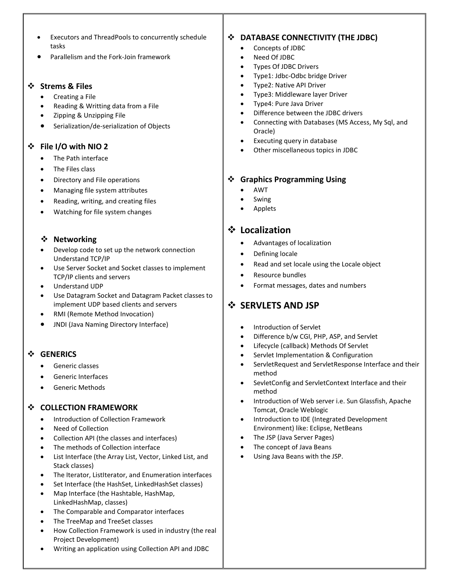- Executors and ThreadPools to concurrently schedule tasks
- Parallelism and the Fork-Join framework

#### **Strems & Files**

- Creating a File
- Reading & Writting data from a File
- Zipping & Unzipping File
- Serialization/de-serialization of Objects

# **File I/O with NIO 2**

- The Path interface
- The Files class
- Directory and File operations
- Managing file system attributes
- Reading, writing, and creating files
- Watching for file system changes

## **Networking**

- Develop code to set up the network connection Understand TCP/IP
- Use Server Socket and Socket classes to implement TCP/IP clients and servers
- Understand UDP
- Use Datagram Socket and Datagram Packet classes to implement UDP based clients and servers
- RMI (Remote Method Invocation)
- JNDI (Java Naming Directory Interface)

#### **GENERICS**

- Generic classes
- Generic Interfaces
- Generic Methods

# **COLLECTION FRAMEWORK**

- Introduction of Collection Framework
- Need of Collection
- Collection API (the classes and interfaces)
- The methods of Collection interface
- List Interface (the Array List, Vector, Linked List, and Stack classes)
- The Iterator, ListIterator, and Enumeration interfaces
- Set Interface (the HashSet, LinkedHashSet classes)
- Map Interface (the Hashtable, HashMap, LinkedHashMap, classes)
- The Comparable and Comparator interfaces
- The TreeMap and TreeSet classes
- How Collection Framework is used in industry (the real Project Development)

- 
- 

# **DATABASE CONNECTIVITY (THE JDBC)**

- Concepts of JDBC
- Need Of JDBC
- Types Of JDBC Drivers
- Type1: Jdbc-Odbc bridge Driver
- Type2: Native API Driver
- Type3: Middleware layer Driver
- Type4: Pure Java Driver
- Difference between the JDBC drivers
- Connecting with Databases (MS Access, My Sql, and Oracle)
- Executing query in database
- Other miscellaneous topics in JDBC

# **Graphics Programming Using**

- AWT
- Swing
- Applets

# **Localization**

- Advantages of localization
- Defining locale
- Read and set locale using the Locale object
- Resource bundles
- Format messages, dates and numbers

# **❖ SERVLETS AND JSP**

- Introduction of Servlet
- Difference b/w CGI, PHP, ASP, and Servlet
- Lifecycle (callback) Methods Of Servlet
- Servlet Implementation & Configuration
- ServletRequest and ServletResponse Interface and their method
- SevletConfig and ServletContext Interface and their method
- Introduction of Web server i.e. Sun Glassfish, Apache Tomcat, Oracle Weblogic
- Introduction to IDE (Integrated Development Environment) like: Eclipse, NetBeans
- The JSP (Java Server Pages)
- The concept of Java Beans
- Using Java Beans with the JSP.

Writing an application using Collection API and JDBC